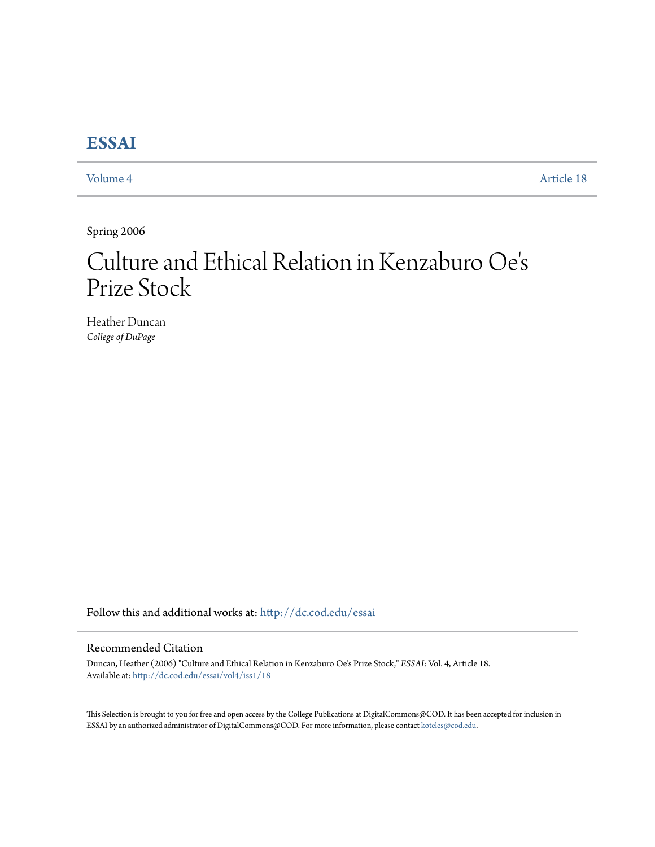# **[ESSAI](http://dc.cod.edu/essai?utm_source=dc.cod.edu%2Fessai%2Fvol4%2Fiss1%2F18&utm_medium=PDF&utm_campaign=PDFCoverPages)**

[Volume 4](http://dc.cod.edu/essai/vol4?utm_source=dc.cod.edu%2Fessai%2Fvol4%2Fiss1%2F18&utm_medium=PDF&utm_campaign=PDFCoverPages) [Article 18](http://dc.cod.edu/essai/vol4/iss1/18?utm_source=dc.cod.edu%2Fessai%2Fvol4%2Fiss1%2F18&utm_medium=PDF&utm_campaign=PDFCoverPages)

Spring 2006

## Culture and Ethical Relation in Kenzaburo Oe ' $\mathsf{s}'$ Prize Stock

Heather Duncan *College of DuPage*

Follow this and additional works at: [http://dc.cod.edu/essai](http://dc.cod.edu/essai?utm_source=dc.cod.edu%2Fessai%2Fvol4%2Fiss1%2F18&utm_medium=PDF&utm_campaign=PDFCoverPages)

### Recommended Citation

Duncan, Heather (2006) "Culture and Ethical Relation in Kenzaburo Oe's Prize Stock," *ESSAI*: Vol. 4, Article 18. Available at: [http://dc.cod.edu/essai/vol4/iss1/18](http://dc.cod.edu/essai/vol4/iss1/18?utm_source=dc.cod.edu%2Fessai%2Fvol4%2Fiss1%2F18&utm_medium=PDF&utm_campaign=PDFCoverPages)

This Selection is brought to you for free and open access by the College Publications at DigitalCommons@COD. It has been accepted for inclusion in ESSAI by an authorized administrator of DigitalCommons@COD. For more information, please contact [koteles@cod.edu](mailto:koteles@cod.edu).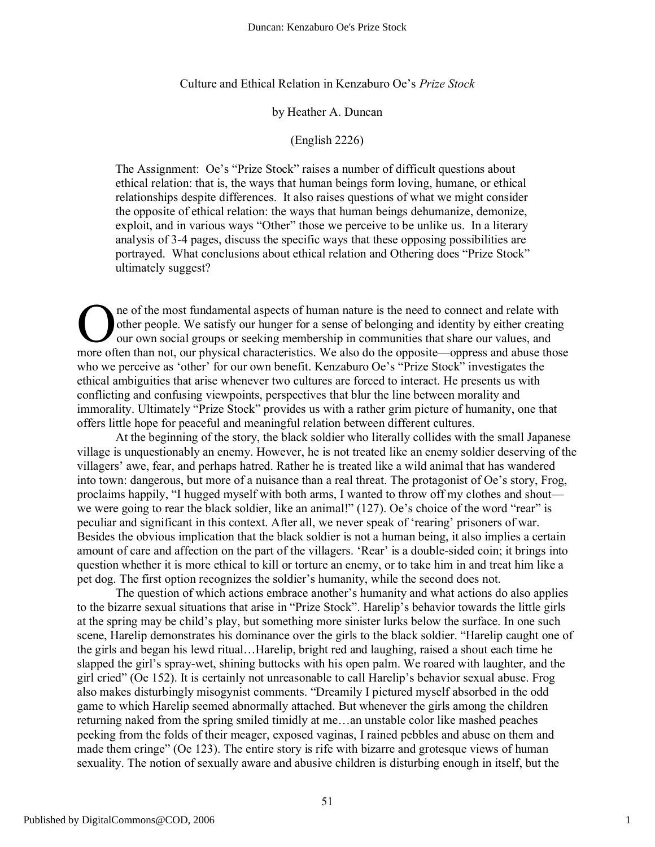#### Culture and Ethical Relation in Kenzaburo Oe's *Prize Stock*

#### by Heather A. Duncan

#### (English 2226)

The Assignment: Oe's "Prize Stock" raises a number of difficult questions about ethical relation: that is, the ways that human beings form loving, humane, or ethical relationships despite differences. It also raises questions of what we might consider the opposite of ethical relation: the ways that human beings dehumanize, demonize, exploit, and in various ways "Other" those we perceive to be unlike us. In a literary analysis of 3-4 pages, discuss the specific ways that these opposing possibilities are portrayed. What conclusions about ethical relation and Othering does "Prize Stock" ultimately suggest?

ne of the most fundamental aspects of human nature is the need to connect and relate with other people. We satisfy our hunger for a sense of belonging and identity by either creating our own social groups or seeking membership in communities that share our values, and The of the most fundamental aspects of human nature is the need to connect and relate with other people. We satisfy our hunger for a sense of belonging and identity by either creating our own social groups or seeking membe who we perceive as 'other' for our own benefit. Kenzaburo Oe's "Prize Stock" investigates the ethical ambiguities that arise whenever two cultures are forced to interact. He presents us with conflicting and confusing viewpoints, perspectives that blur the line between morality and immorality. Ultimately "Prize Stock" provides us with a rather grim picture of humanity, one that offers little hope for peaceful and meaningful relation between different cultures.

At the beginning of the story, the black soldier who literally collides with the small Japanese village is unquestionably an enemy. However, he is not treated like an enemy soldier deserving of the villagers' awe, fear, and perhaps hatred. Rather he is treated like a wild animal that has wandered into town: dangerous, but more of a nuisance than a real threat. The protagonist of Oe's story, Frog, proclaims happily, "I hugged myself with both arms, I wanted to throw off my clothes and shout we were going to rear the black soldier, like an animal!" (127). Oe's choice of the word "rear" is peculiar and significant in this context. After all, we never speak of 'rearing' prisoners of war. Besides the obvious implication that the black soldier is not a human being, it also implies a certain amount of care and affection on the part of the villagers. 'Rear' is a double-sided coin; it brings into question whether it is more ethical to kill or torture an enemy, or to take him in and treat him like a pet dog. The first option recognizes the soldier's humanity, while the second does not.

The question of which actions embrace another's humanity and what actions do also applies to the bizarre sexual situations that arise in "Prize Stock". Harelip's behavior towards the little girls at the spring may be child's play, but something more sinister lurks below the surface. In one such scene, Harelip demonstrates his dominance over the girls to the black soldier. "Harelip caught one of the girls and began his lewd ritual…Harelip, bright red and laughing, raised a shout each time he slapped the girl's spray-wet, shining buttocks with his open palm. We roared with laughter, and the girl cried" (Oe 152). It is certainly not unreasonable to call Harelip's behavior sexual abuse. Frog also makes disturbingly misogynist comments. "Dreamily I pictured myself absorbed in the odd game to which Harelip seemed abnormally attached. But whenever the girls among the children returning naked from the spring smiled timidly at me…an unstable color like mashed peaches peeking from the folds of their meager, exposed vaginas, I rained pebbles and abuse on them and made them cringe" (Oe 123). The entire story is rife with bizarre and grotesque views of human sexuality. The notion of sexually aware and abusive children is disturbing enough in itself, but the

1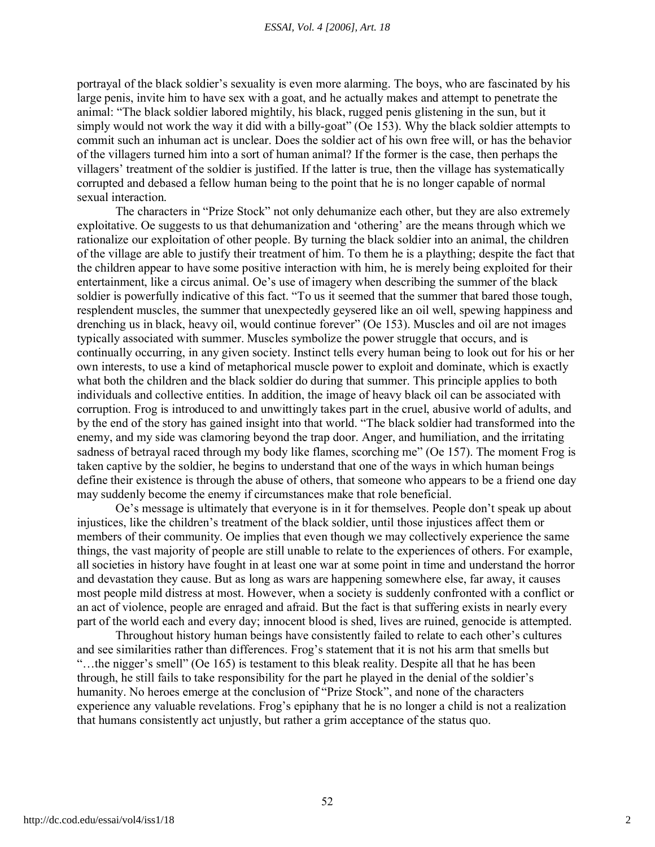portrayal of the black soldier's sexuality is even more alarming. The boys, who are fascinated by his large penis, invite him to have sex with a goat, and he actually makes and attempt to penetrate the animal: "The black soldier labored mightily, his black, rugged penis glistening in the sun, but it simply would not work the way it did with a billy-goat" (Oe 153). Why the black soldier attempts to commit such an inhuman act is unclear. Does the soldier act of his own free will, or has the behavior of the villagers turned him into a sort of human animal? If the former is the case, then perhaps the villagers' treatment of the soldier is justified. If the latter is true, then the village has systematically corrupted and debased a fellow human being to the point that he is no longer capable of normal sexual interaction.

The characters in "Prize Stock" not only dehumanize each other, but they are also extremely exploitative. Oe suggests to us that dehumanization and 'othering' are the means through which we rationalize our exploitation of other people. By turning the black soldier into an animal, the children of the village are able to justify their treatment of him. To them he is a plaything; despite the fact that the children appear to have some positive interaction with him, he is merely being exploited for their entertainment, like a circus animal. Oe's use of imagery when describing the summer of the black soldier is powerfully indicative of this fact. "To us it seemed that the summer that bared those tough, resplendent muscles, the summer that unexpectedly geysered like an oil well, spewing happiness and drenching us in black, heavy oil, would continue forever" (Oe 153). Muscles and oil are not images typically associated with summer. Muscles symbolize the power struggle that occurs, and is continually occurring, in any given society. Instinct tells every human being to look out for his or her own interests, to use a kind of metaphorical muscle power to exploit and dominate, which is exactly what both the children and the black soldier do during that summer. This principle applies to both individuals and collective entities. In addition, the image of heavy black oil can be associated with corruption. Frog is introduced to and unwittingly takes part in the cruel, abusive world of adults, and by the end of the story has gained insight into that world. "The black soldier had transformed into the enemy, and my side was clamoring beyond the trap door. Anger, and humiliation, and the irritating sadness of betrayal raced through my body like flames, scorching me" (Oe 157). The moment Frog is taken captive by the soldier, he begins to understand that one of the ways in which human beings define their existence is through the abuse of others, that someone who appears to be a friend one day may suddenly become the enemy if circumstances make that role beneficial.

Oe's message is ultimately that everyone is in it for themselves. People don't speak up about injustices, like the children's treatment of the black soldier, until those injustices affect them or members of their community. Oe implies that even though we may collectively experience the same things, the vast majority of people are still unable to relate to the experiences of others. For example, all societies in history have fought in at least one war at some point in time and understand the horror and devastation they cause. But as long as wars are happening somewhere else, far away, it causes most people mild distress at most. However, when a society is suddenly confronted with a conflict or an act of violence, people are enraged and afraid. But the fact is that suffering exists in nearly every part of the world each and every day; innocent blood is shed, lives are ruined, genocide is attempted.

Throughout history human beings have consistently failed to relate to each other's cultures and see similarities rather than differences. Frog's statement that it is not his arm that smells but "…the nigger's smell" (Oe 165) is testament to this bleak reality. Despite all that he has been through, he still fails to take responsibility for the part he played in the denial of the soldier's humanity. No heroes emerge at the conclusion of "Prize Stock", and none of the characters experience any valuable revelations. Frog's epiphany that he is no longer a child is not a realization that humans consistently act unjustly, but rather a grim acceptance of the status quo.